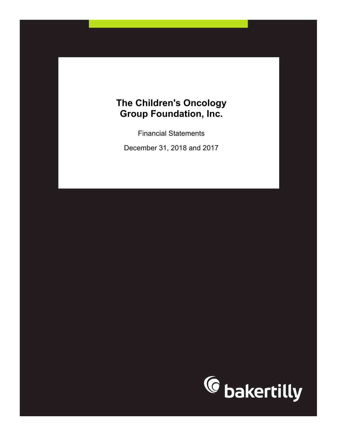Financial Statements

December 31, 2018 and 2017

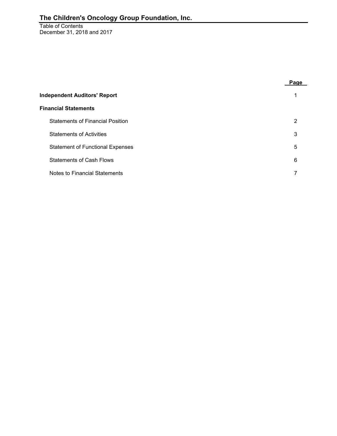Table of Contents December 31, 2018 and 2017

|                                         | Page |
|-----------------------------------------|------|
| <b>Independent Auditors' Report</b>     |      |
| <b>Financial Statements</b>             |      |
| <b>Statements of Financial Position</b> | 2    |
| <b>Statements of Activities</b>         | 3    |
| <b>Statement of Functional Expenses</b> | 5    |
| <b>Statements of Cash Flows</b>         | 6    |
| Notes to Financial Statements           |      |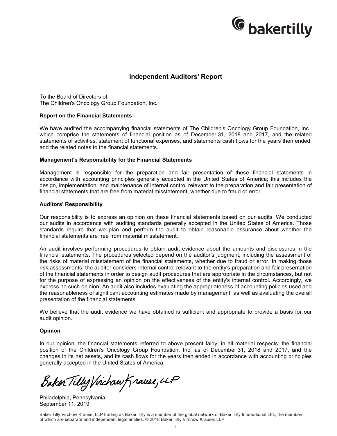

### **Independent Auditors' Report**

To the Board of Directors of The Children's Oncology Group Foundation, Inc.

#### **Report on the Financial Statements**

We have audited the accompanying financial statements of The Children's Oncology Group Foundation, Inc., which comprise the statements of financial position as of December 31, 2018 and 2017, and the related statements of activities, statement of functional expenses, and statements cash flows for the years then ended, and the related notes to the financial statements.

#### **Management's Responsibility for the Financial Statements**

Management is responsible for the preparation and fair presentation of these financial statements in accordance with accounting principles generally accepted in the United States of America; this includes the design, implementation, and maintenance of internal control relevant to the preparation and fair presentation of financial statements that are free from material misstatement, whether due to fraud or error.

#### **Auditors' Responsibility**

Our responsibility is to express an opinion on these financial statements based on our audits. We conducted our audits in accordance with auditing standards generally accepted in the United States of America. Those standards require that we plan and perform the audit to obtain reasonable assurance about whether the financial statements are free from material misstatement.

An audit involves performing procedures to obtain audit evidence about the amounts and disclosures in the financial statements. The procedures selected depend on the auditor's judgment, including the assessment of the risks of material misstatement of the financial statements, whether due to fraud or error. In making those risk assessments, the auditor considers internal control relevant to the entity's preparation and fair presentation of the financial statements in order to design audit procedures that are appropriate in the circumstances, but not for the purpose of expressing an opinion on the effectiveness of the entity's internal control. Accordingly, we express no such opinion. An audit also includes evaluating the appropriateness of accounting policies used and the reasonableness of significant accounting estimates made by management, as well as evaluating the overall presentation of the financial statements.

We believe that the audit evidence we have obtained is sufficient and appropriate to provide a basis for our audit opinion.

#### **Opinion**

In our opinion, the financial statements referred to above present fairly, in all material respects, the financial position of the Children's Oncology Group Foundation, Inc. as of December 31, 2018 and 2017, and the changes in its net assets, and its cash flows for the years then ended in accordance with accounting principles generally accepted in the United States of America.

Baker Tilly Virchaw Krause, LLP

Philadelphia, Pennsylvania September 11, 2019

Baker Tilly Virchow Krause, LLP trading as Baker Tilly is a member of the global network of Baker Tilly International Ltd., the members of which are separate and independent legal entities. © 2018 Baker Tilly Virchow Krause, LLP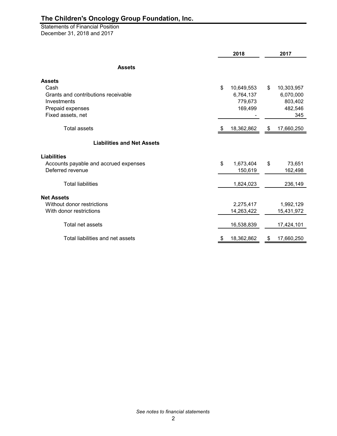Statements of Financial Position December 31, 2018 and 2017

|                                                 |      | 2017       |    |            |
|-------------------------------------------------|------|------------|----|------------|
| <b>Assets</b>                                   |      |            |    |            |
| <b>Assets</b>                                   |      |            |    |            |
| Cash                                            | \$   | 10,649,553 | \$ | 10,303,957 |
| Grants and contributions receivable             |      | 6,764,137  |    | 6,070,000  |
| Investments                                     |      | 779,673    |    | 803,402    |
| Prepaid expenses                                |      | 169,499    |    | 482,546    |
| Fixed assets, net                               |      |            |    | 345        |
| <b>Total assets</b>                             | - \$ | 18,362,862 | \$ | 17,660,250 |
| <b>Liabilities and Net Assets</b>               |      |            |    |            |
| <b>Liabilities</b>                              |      |            |    |            |
| Accounts payable and accrued expenses           | \$   | 1,673,404  | \$ | 73,651     |
| Deferred revenue                                |      | 150,619    |    | 162,498    |
| <b>Total liabilities</b>                        |      | 1,824,023  |    | 236,149    |
|                                                 |      |            |    |            |
| <b>Net Assets</b><br>Without donor restrictions |      |            |    |            |
| With donor restrictions                         |      | 2,275,417  |    | 1,992,129  |
|                                                 |      | 14,263,422 |    | 15,431,972 |
| Total net assets                                |      | 16,538,839 |    | 17,424,101 |
| Total liabilities and net assets                | \$   | 18,362,862 | \$ | 17,660,250 |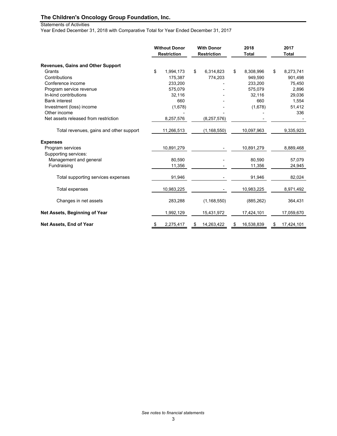#### Statements of Activities

Year Ended December 31, 2018 with Comparative Total for Year Ended December 31, 2017

|                                          | <b>Without Donor</b><br><b>Restriction</b> |            |    |               | <b>With Donor</b><br><b>Restriction</b> |            |                  |  | 2018<br><b>Total</b> |  |  |  | 2017<br>Total |
|------------------------------------------|--------------------------------------------|------------|----|---------------|-----------------------------------------|------------|------------------|--|----------------------|--|--|--|---------------|
| <b>Revenues, Gains and Other Support</b> |                                            |            |    |               |                                         |            |                  |  |                      |  |  |  |               |
| Grants                                   | \$                                         | 1,994,173  | \$ | 6,314,823     | \$                                      | 8,308,996  | \$<br>8,273,741  |  |                      |  |  |  |               |
| Contributions                            |                                            | 175,387    |    | 774,203       |                                         | 949,590    | 901,498          |  |                      |  |  |  |               |
| Conference income                        |                                            | 233,200    |    |               |                                         | 233,200    | 75,450           |  |                      |  |  |  |               |
| Program service revenue                  |                                            | 575,079    |    |               |                                         | 575,079    | 2,896            |  |                      |  |  |  |               |
| In-kind contributions                    |                                            | 32,116     |    |               |                                         | 32,116     | 29,036           |  |                      |  |  |  |               |
| <b>Bank interest</b>                     |                                            | 660        |    |               |                                         | 660        | 1,554            |  |                      |  |  |  |               |
| Investment (loss) income                 |                                            | (1,678)    |    |               |                                         | (1,678)    | 51,412           |  |                      |  |  |  |               |
| Other income                             |                                            |            |    |               |                                         |            | 336              |  |                      |  |  |  |               |
| Net assets released from restriction     |                                            | 8,257,576  |    | (8, 257, 576) |                                         |            |                  |  |                      |  |  |  |               |
| Total revenues, gains and other support  |                                            | 11,266,513 |    | (1, 168, 550) |                                         | 10,097,963 | 9,335,923        |  |                      |  |  |  |               |
| <b>Expenses</b>                          |                                            |            |    |               |                                         |            |                  |  |                      |  |  |  |               |
| Program services                         |                                            | 10,891,279 |    |               |                                         | 10,891,279 | 8,889,468        |  |                      |  |  |  |               |
| Supporting services:                     |                                            |            |    |               |                                         |            |                  |  |                      |  |  |  |               |
| Management and general                   |                                            | 80.590     |    |               |                                         | 80.590     | 57.079           |  |                      |  |  |  |               |
| Fundraising                              |                                            | 11,356     |    |               |                                         | 11,356     | 24,945           |  |                      |  |  |  |               |
| Total supporting services expenses       |                                            | 91,946     |    |               |                                         | 91,946     | 82,024           |  |                      |  |  |  |               |
| Total expenses                           |                                            | 10,983,225 |    |               |                                         | 10,983,225 | 8,971,492        |  |                      |  |  |  |               |
| Changes in net assets                    |                                            | 283,288    |    | (1, 168, 550) |                                         | (885, 262) | 364,431          |  |                      |  |  |  |               |
| Net Assets, Beginning of Year            |                                            | 1,992,129  |    | 15,431,972    |                                         | 17,424,101 | 17,059,670       |  |                      |  |  |  |               |
| Net Assets, End of Year                  | \$                                         | 2,275,417  | \$ | 14,263,422    | \$                                      | 16,538,839 | \$<br>17,424,101 |  |                      |  |  |  |               |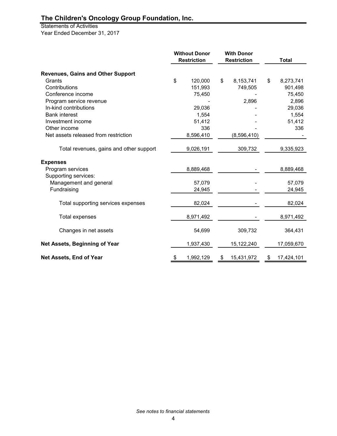# Statements of Activities

Year Ended December 31, 2017

|                                          | <b>Without Donor</b><br><b>Restriction</b> |           | <b>With Donor</b><br><b>Restriction</b> | <b>Total</b>     |
|------------------------------------------|--------------------------------------------|-----------|-----------------------------------------|------------------|
| <b>Revenues, Gains and Other Support</b> |                                            |           |                                         |                  |
| Grants                                   | \$                                         | 120,000   | \$<br>8,153,741                         | \$<br>8,273,741  |
| Contributions                            |                                            | 151,993   | 749,505                                 | 901,498          |
| Conference income                        |                                            | 75,450    |                                         | 75,450           |
| Program service revenue                  |                                            |           | 2,896                                   | 2,896            |
| In-kind contributions                    |                                            | 29,036    |                                         | 29,036           |
| <b>Bank interest</b>                     |                                            | 1,554     |                                         | 1,554            |
| Investment income                        |                                            | 51,412    |                                         | 51,412           |
| Other income                             |                                            | 336       |                                         | 336              |
| Net assets released from restriction     |                                            | 8,596,410 | (8,596,410)                             |                  |
| Total revenues, gains and other support  |                                            | 9,026,191 | 309,732                                 | 9,335,923        |
| <b>Expenses</b>                          |                                            |           |                                         |                  |
| Program services                         |                                            | 8,889,468 |                                         | 8,889,468        |
| Supporting services:                     |                                            |           |                                         |                  |
| Management and general                   |                                            | 57,079    |                                         | 57,079           |
| Fundraising                              |                                            | 24,945    |                                         | 24,945           |
| Total supporting services expenses       |                                            | 82,024    |                                         | 82,024           |
| <b>Total expenses</b>                    |                                            | 8,971,492 |                                         | 8,971,492        |
| Changes in net assets                    |                                            | 54,699    | 309,732                                 | 364,431          |
| Net Assets, Beginning of Year            |                                            | 1,937,430 | 15,122,240                              | 17,059,670       |
| Net Assets, End of Year                  | \$                                         | 1,992,129 | \$<br>15,431,972                        | \$<br>17,424,101 |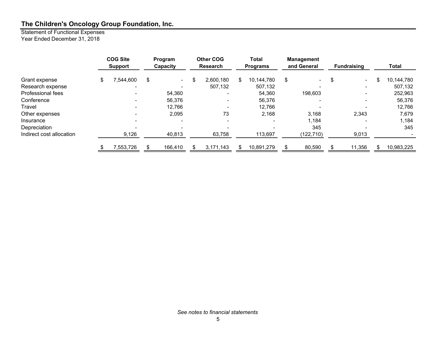#### Statement of Functional Expenses

Year Ended December 31, 2018

|                          | <b>COG Site</b><br><b>Support</b> | Program<br>Capacity      |     | <b>Other COG</b><br><b>Research</b> |   |            |    |                          |    | <b>Total</b><br><b>Programs</b> |  |            |  | <b>Management</b><br>and General |  | <b>Fundraising</b> |  | Total |  |
|--------------------------|-----------------------------------|--------------------------|-----|-------------------------------------|---|------------|----|--------------------------|----|---------------------------------|--|------------|--|----------------------------------|--|--------------------|--|-------|--|
| Grant expense            | \$<br>7,544,600                   | \$<br>$\sim$             | \$. | 2,600,180                           | S | 10,144,780 | \$ | $\sim$                   | \$ | $\sim$                          |  | 10,144,780 |  |                                  |  |                    |  |       |  |
| Research expense         |                                   | $\overline{\phantom{0}}$ |     | 507,132                             |   | 507.132    |    | $\overline{\phantom{0}}$ |    | -                               |  | 507.132    |  |                                  |  |                    |  |       |  |
| Professional fees        |                                   | 54,360                   |     |                                     |   | 54,360     |    | 198,603                  |    | н.                              |  | 252,963    |  |                                  |  |                    |  |       |  |
| Conference               |                                   | 56,376                   |     |                                     |   | 56,376     |    |                          |    | $\overline{\phantom{a}}$        |  | 56,376     |  |                                  |  |                    |  |       |  |
| Travel                   | -                                 | 12,766                   |     |                                     |   | 12,766     |    | $\overline{\phantom{a}}$ |    | $\overline{\phantom{a}}$        |  | 12,766     |  |                                  |  |                    |  |       |  |
| Other expenses           |                                   | 2,095                    |     | 73                                  |   | 2,168      |    | 3,168                    |    | 2,343                           |  | 7,679      |  |                                  |  |                    |  |       |  |
| Insurance                |                                   | $\overline{\phantom{0}}$ |     | -                                   |   |            |    | 1,184                    |    |                                 |  | 1,184      |  |                                  |  |                    |  |       |  |
| Depreciation             |                                   |                          |     |                                     |   |            |    | 345                      |    |                                 |  | 345        |  |                                  |  |                    |  |       |  |
| Indirect cost allocation | 9,126                             | 40,813                   |     | 63,758                              |   | 113,697    |    | (122,710)                |    | 9,013                           |  |            |  |                                  |  |                    |  |       |  |
|                          | 7,553,726                         | 166,410                  |     | 3,171,143                           |   | 10,891,279 |    | 80,590                   |    | 11,356                          |  | 10,983,225 |  |                                  |  |                    |  |       |  |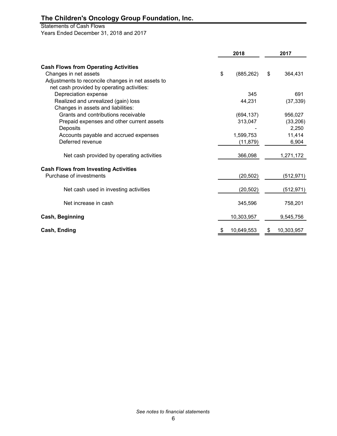## Statements of Cash Flows

Years Ended December 31, 2018 and 2017

|                                                   | 2018 |            |    | 2017       |
|---------------------------------------------------|------|------------|----|------------|
| <b>Cash Flows from Operating Activities</b>       |      |            |    |            |
| Changes in net assets                             | \$   | (885, 262) | \$ | 364,431    |
| Adjustments to reconcile changes in net assets to |      |            |    |            |
| net cash provided by operating activities:        |      |            |    |            |
| Depreciation expense                              |      | 345        |    | 691        |
| Realized and unrealized (gain) loss               |      | 44,231     |    | (37, 339)  |
| Changes in assets and liabilities:                |      |            |    |            |
| Grants and contributions receivable               |      | (694, 137) |    | 956,027    |
| Prepaid expenses and other current assets         |      | 313,047    |    | (33,206)   |
| Deposits                                          |      |            |    | 2,250      |
| Accounts payable and accrued expenses             |      | 1,599,753  |    | 11,414     |
| Deferred revenue                                  |      | (11, 879)  |    | 6,904      |
|                                                   |      |            |    |            |
| Net cash provided by operating activities         |      | 366,098    |    | 1,271,172  |
| <b>Cash Flows from Investing Activities</b>       |      |            |    |            |
| Purchase of investments                           |      | (20, 502)  |    | (512, 971) |
|                                                   |      |            |    |            |
| Net cash used in investing activities             |      | (20, 502)  |    | (512, 971) |
| Net increase in cash                              |      | 345,596    |    | 758,201    |
| Cash, Beginning                                   |      | 10,303,957 |    | 9,545,756  |
| Cash, Ending                                      | \$   | 10,649,553 | \$ | 10,303,957 |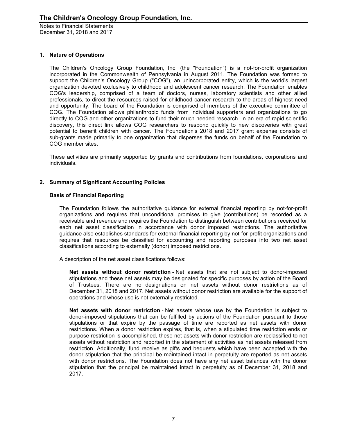#### **1. Nature of Operations**

The Children's Oncology Group Foundation, Inc. (the "Foundation") is a not-for-profit organization incorporated in the Commonwealth of Pennsylvania in August 2011. The Foundation was formed to support the Children's Oncology Group ("COG"), an unincorporated entity, which is the world's largest organization devoted exclusively to childhood and adolescent cancer research. The Foundation enables COG's leadership, comprised of a team of doctors, nurses, laboratory scientists and other allied professionals, to direct the resources raised for childhood cancer research to the areas of highest need and opportunity. The board of the Foundation is comprised of members of the executive committee of COG. The Foundation allows philanthropic funds from individual supporters and organizations to go directly to COG and other organizations to fund their much needed research. In an era of rapid scientific discovery, this direct link allows COG researchers to respond quickly to new discoveries with great potential to benefit children with cancer. The Foundation's 2018 and 2017 grant expense consists of sub-grants made primarily to one organization that disperses the funds on behalf of the Foundation to COG member sites.

These activities are primarily supported by grants and contributions from foundations, corporations and individuals.

#### **2. Summary of Significant Accounting Policies**

#### **Basis of Financial Reporting**

The Foundation follows the authoritative guidance for external financial reporting by not-for-profit organizations and requires that unconditional promises to give (contributions) be recorded as a receivable and revenue and requires the Foundation to distinguish between contributions received for each net asset classification in accordance with donor imposed restrictions. The authoritative guidance also establishes standards for external financial reporting by not-for-profit organizations and requires that resources be classified for accounting and reporting purposes into two net asset classifications according to externally (donor) imposed restrictions.

A description of the net asset classifications follows:

**Net assets without donor restriction** - Net assets that are not subject to donor-imposed stipulations and these net assets may be designated for specific purposes by action of the Board of Trustees. There are no designations on net assets without donor restrictions as of December 31, 2018 and 2017. Net assets without donor restriction are available for the support of operations and whose use is not externally restricted.

**Net assets with donor restriction** - Net assets whose use by the Foundation is subject to donor-imposed stipulations that can be fulfilled by actions of the Foundation pursuant to those stipulations or that expire by the passage of time are reported as net assets with donor restrictions. When a donor restriction expires, that is, when a stipulated time restriction ends or purpose restriction is accomplished, these net assets with donor restriction are reclassified to net assets without restriction and reported in the statement of activities as net assets released from restriction. Additionally, fund receive as gifts and bequests which have been accepted with the donor stipulation that the principal be maintained intact in perpetuity are reported as net assets with donor restrictions. The Foundation does not have any net asset balances with the donor stipulation that the principal be maintained intact in perpetuity as of December 31, 2018 and 2017.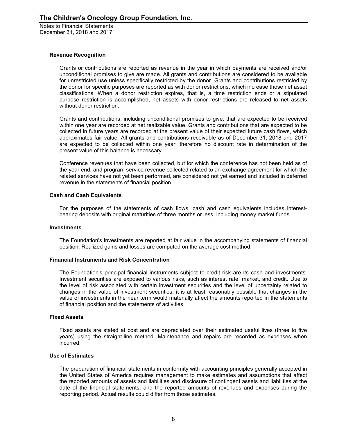#### **Revenue Recognition**

Grants or contributions are reported as revenue in the year in which payments are received and/or unconditional promises to give are made. All grants and contributions are considered to be available for unrestricted use unless specifically restricted by the donor. Grants and contributions restricted by the donor for specific purposes are reported as with donor restrictions, which increase those net asset classifications. When a donor restriction expires, that is, a time restriction ends or a stipulated purpose restriction is accomplished, net assets with donor restrictions are released to net assets without donor restriction.

Grants and contributions, including unconditional promises to give, that are expected to be received within one year are recorded at net realizable value. Grants and contributions that are expected to be collected in future years are recorded at the present value of their expected future cash flows, which approximates fair value. All grants and contributions receivable as of December 31, 2018 and 2017 are expected to be collected within one year, therefore no discount rate in determination of the present value of this balance is necessary.

Conference revenues that have been collected, but for which the conference has not been held as of the year end, and program service revenue collected related to an exchange agreement for which the related services have not yet been performed, are considered not yet earned and included in deferred revenue in the statements of financial position.

#### **Cash and Cash Equivalents**

For the purposes of the statements of cash flows, cash and cash equivalents includes interestbearing deposits with original maturities of three months or less, including money market funds.

#### **Investments**

The Foundation's investments are reported at fair value in the accompanying statements of financial position. Realized gains and losses are computed on the average cost method.

#### **Financial Instruments and Risk Concentration**

The Foundation's principal financial instruments subject to credit risk are its cash and investments. Investment securities are exposed to various risks, such as interest rate, market, and credit. Due to the level of risk associated with certain investment securities and the level of uncertainty related to changes in the value of investment securities, it is at least reasonably possible that changes in the value of investments in the near term would materially affect the amounts reported in the statements of financial position and the statements of activities.

#### **Fixed Assets**

Fixed assets are stated at cost and are depreciated over their estimated useful lives (three to five years) using the straight-line method. Maintenance and repairs are recorded as expenses when incurred.

#### **Use of Estimates**

The preparation of financial statements in conformity with accounting principles generally accepted in the United States of America requires management to make estimates and assumptions that affect the reported amounts of assets and liabilities and disclosure of contingent assets and liabilities at the date of the financial statements, and the reported amounts of revenues and expenses during the reporting period. Actual results could differ from those estimates.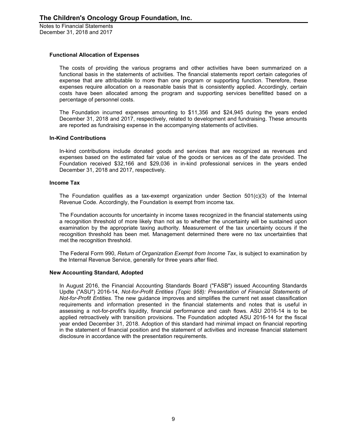#### **Functional Allocation of Expenses**

The costs of providing the various programs and other activities have been summarized on a functional basis in the statements of activities. The financial statements report certain categories of expense that are attributable to more than one program or supporting function. Therefore, these expenses require allocation on a reasonable basis that is consistently applied. Accordingly, certain costs have been allocated among the program and supporting services benefitted based on a percentage of personnel costs.

The Foundation incurred expenses amounting to \$11,356 and \$24,945 during the years ended December 31, 2018 and 2017, respectively, related to development and fundraising. These amounts are reported as fundraising expense in the accompanying statements of activities.

#### **In-Kind Contributions**

In-kind contributions include donated goods and services that are recognized as revenues and expenses based on the estimated fair value of the goods or services as of the date provided. The Foundation received \$32,166 and \$29,036 in in-kind professional services in the years ended December 31, 2018 and 2017, respectively.

#### **Income Tax**

The Foundation qualifies as a tax-exempt organization under Section  $501(c)(3)$  of the Internal Revenue Code. Accordingly, the Foundation is exempt from income tax.

The Foundation accounts for uncertainty in income taxes recognized in the financial statements using a recognition threshold of more likely than not as to whether the uncertainty will be sustained upon examination by the appropriate taxing authority. Measurement of the tax uncertainty occurs if the recognition threshold has been met. Management determined there were no tax uncertainties that met the recognition threshold.

The Federal Form 990, *Return of Organization Exempt from Income Tax*, is subject to examination by the Internal Revenue Service, generally for three years after filed.

#### **New Accounting Standard, Adopted**

In August 2016, the Financial Accounting Standards Board ("FASB") issued Accounting Standards Updte ("ASU") 2016-14, *Not-for-Profit Entities (Topic 958): Presentation of Financial Statements of Not-for-Profit Entities*. The new guidance improves and simplifies the current net asset classification requirements and information presented in the financial statements and notes that is useful in assessing a not-for-profit's liquidity, financial performance and cash flows. ASU 2016-14 is to be applied retroactively with transition provisions. The Foundation adopted ASU 2016-14 for the fiscal year ended December 31, 2018. Adoption of this standard had minimal impact on financial reporting in the statement of financial position and the statement of activities and increase financial statement disclosure in accordance with the presentation requirements.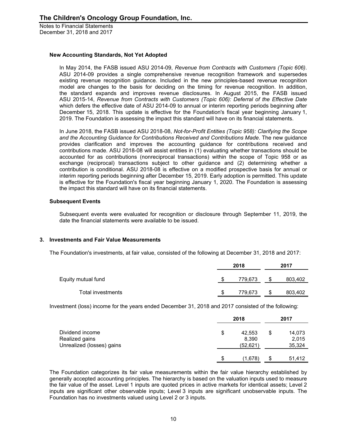#### **New Accounting Standards, Not Yet Adopted**

In May 2014, the FASB issued ASU 2014-09, *Revenue from Contracts with Customers (Topic 606)*. ASU 2014-09 provides a single comprehensive revenue recognition framework and supersedes existing revenue recognition guidance. Included in the new principles-based revenue recognition model are changes to the basis for deciding on the timing for revenue recognition. In addition, the standard expands and improves revenue disclosures. In August 2015, the FASB issued ASU 2015-14, *Revenue from Contracts with Customers (Topic 606): Deferral of the Effective Date* which defers the effective date of ASU 2014-09 to annual or interim reporting periods beginning after December 15, 2018. This update is effective for the Foundation's fiscal year beginning January 1, 2019. The Foundation is assessing the impact this standard will have on its financial statements.

In June 2018, the FASB issued ASU 2018-08, *Not-for-Profit Entities (Topic 958): Clarifying the Scope and the Accounting Guidance for Contributions Received and Contributions Made*. The new guidance provides clarification and improves the accounting guidance for contributions received and contributions made. ASU 2018-08 will assist entities in (1) evaluating whether transactions should be accounted for as contributions (nonreciprocal transactions) within the scope of Topic 958 or as exchange (reciprocal) transactions subject to other guidance and (2) determining whether a contribution is conditional. ASU 2018-08 is effective on a modified prospective basis for annual or interim reporting periods beginning after December 15, 2019. Early adoption is permitted. This update is effective for the Foundation's fiscal year beginning January 1, 2020. The Foundation is assessing the impact this standard will have on its financial statements.

#### **Subsequent Events**

Subsequent events were evaluated for recognition or disclosure through September 11, 2019, the date the financial statements were available to be issued.

#### **3. Investments and Fair Value Measurements**

The Foundation's investments, at fair value, consisted of the following at December 31, 2018 and 2017:

|                    | 2018 |         |   | 2017    |
|--------------------|------|---------|---|---------|
| Equity mutual fund |      | 779.673 |   | 803,402 |
| Total investments  |      | 779,673 | S | 803,402 |

Investment (loss) income for the years ended December 31, 2018 and 2017 consisted of the following:

|                                                                | 2018                               |    | 2017                      |
|----------------------------------------------------------------|------------------------------------|----|---------------------------|
| Dividend income<br>Realized gains<br>Unrealized (losses) gains | \$<br>42,553<br>8,390<br>(52, 621) | \$ | 14,073<br>2,015<br>35,324 |
|                                                                | \$<br>(1,678)                      | S  | 51,412                    |

The Foundation categorizes its fair value measurements within the fair value hierarchy established by generally accepted accounting principles. The hierarchy is based on the valuation inputs used to measure the fair value of the asset. Level 1 inputs are quoted prices in active markets for identical assets; Level 2 inputs are significant other observable inputs; Level 3 inputs are significant unobservable inputs. The Foundation has no investments valued using Level 2 or 3 inputs.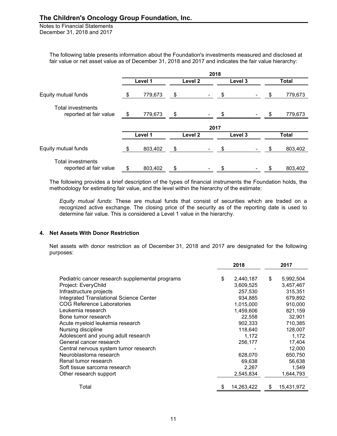Notes to Financial Statements December 31, 2018 and 2017

> The following table presents information about the Foundation's investments measured and disclosed at fair value or net asset value as of December 31, 2018 and 2017 and indicates the fair value hierarchy:

|                                                    | 2018          |         |      |         |                |    |              |  |  |
|----------------------------------------------------|---------------|---------|------|---------|----------------|----|--------------|--|--|
|                                                    | Level 1       | Level 2 |      | Level 3 |                |    | <b>Total</b> |  |  |
| Equity mutual funds                                | \$<br>779,673 | \$      |      | \$      | $\blacksquare$ | \$ | 779,673      |  |  |
| <b>Total investments</b><br>reported at fair value | 779,673       | \$      |      |         |                |    | 779,673      |  |  |
|                                                    |               |         | 2017 |         |                |    |              |  |  |
|                                                    | Level 1       | Level 2 |      | Level 3 |                |    | <b>Total</b> |  |  |
| Equity mutual funds                                | \$<br>803,402 | \$      |      | \$      |                | \$ | 803,402      |  |  |
| <b>Total investments</b><br>reported at fair value | \$<br>803,402 | \$      |      | \$      |                | \$ | 803,402      |  |  |

The following provides a brief description of the types of financial instruments the Foundation holds, the methodology for estimating fair value, and the level within the hierarchy of the estimate:

*Equity mutual funds*: These are mutual funds that consist of securities which are traded on a recognized active exchange. The closing price of the security as of the reporting date is used to determine fair value. This is considered a Level 1 value in the hierarchy.

#### **4. Net Assets With Donor Restriction**

Net assets with donor restriction as of December 31, 2018 and 2017 are designated for the following purposes:

|                                                 | 2018 |                      |    | 2017                 |  |  |
|-------------------------------------------------|------|----------------------|----|----------------------|--|--|
| Pediatric cancer research supplemental programs | \$   | 2,440,187            | \$ | 5,992,504            |  |  |
| Project: EveryChild<br>Infrastructure projects  |      | 3,609,525<br>257,530 |    | 3,457,467<br>315,351 |  |  |
| Integrated Translational Science Center         |      | 934,885              |    | 679,892              |  |  |
| <b>COG Reference Laboratories</b>               |      | 1,015,000            |    | 910,000              |  |  |
| Leukemia research                               |      | 1,459,606            |    | 821,159              |  |  |
| Bone tumor research                             |      | 22,558               |    | 32,901               |  |  |
| Acute myeloid leukemia research                 |      | 902,333              |    | 710,385              |  |  |
| Nursing discipline                              |      | 118,640              |    | 128,007              |  |  |
| Adolescent and young adult research             |      | 1,172                |    | 1,172                |  |  |
| General cancer research                         |      | 256,177              |    | 17,404               |  |  |
| Central nervous system tumor research           |      |                      |    | 12,000               |  |  |
| Neuroblastoma research                          |      | 628,070              |    | 650,750              |  |  |
| Renal tumor research                            |      | 69,638               |    | 56,638               |  |  |
| Soft tissue sarcoma research                    |      | 2,267                |    | 1,549                |  |  |
| Other research support                          |      | 2,545,834            |    | 1,644,793            |  |  |
| Total                                           |      | 14,263,422           | S  | 15,431,972           |  |  |
|                                                 |      |                      |    |                      |  |  |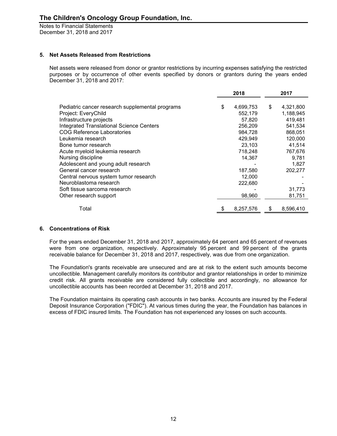#### **5. Net Assets Released from Restrictions**

Net assets were released from donor or grantor restrictions by incurring expenses satisfying the restricted purposes or by occurrence of other events specified by donors or grantors during the years ended December 31, 2018 and 2017:

|                                                 | 2018            | 2017            |
|-------------------------------------------------|-----------------|-----------------|
| Pediatric cancer research supplemental programs | \$<br>4,699,753 | \$<br>4,321,800 |
| Project: EveryChild                             | 552,179         | 1,188,945       |
| Infrastructure projects                         | 57.820          | 419,481         |
| <b>Integrated Translational Science Centers</b> | 256,209         | 541,534         |
| COG Reference Laboratories                      | 984,728         | 868,051         |
| Leukemia research                               | 429,949         | 120,000         |
| Bone tumor research                             | 23,103          | 41,514          |
| Acute myeloid leukemia research                 | 718,248         | 767,676         |
| Nursing discipline                              | 14,367          | 9,781           |
| Adolescent and young adult research             |                 | 1,827           |
| General cancer research                         | 187,580         | 202,277         |
| Central nervous system tumor research           | 12,000          |                 |
| Neuroblastoma research                          | 222,680         |                 |
| Soft tissue sarcoma research                    |                 | 31,773          |
| Other research support                          | 98,960          | 81,751          |
| Total                                           | 8,257,576       | 8,596,410       |

#### **6. Concentrations of Risk**

For the years ended December 31, 2018 and 2017, approximately 64 percent and 65 percent of revenues were from one organization, respectively. Approximately 95 percent and 99 percent of the grants receivable balance for December 31, 2018 and 2017, respectively, was due from one organization.

The Foundation's grants receivable are unsecured and are at risk to the extent such amounts become uncollectible. Management carefully monitors its contributor and grantor relationships in order to minimize credit risk. All grants receivable are considered fully collectible and accordingly, no allowance for uncollectible accounts has been recorded at December 31, 2018 and 2017.

The Foundation maintains its operating cash accounts in two banks. Accounts are insured by the Federal Deposit Insurance Corporation ("FDIC"). At various times during the year, the Foundation has balances in excess of FDIC insured limits. The Foundation has not experienced any losses on such accounts.